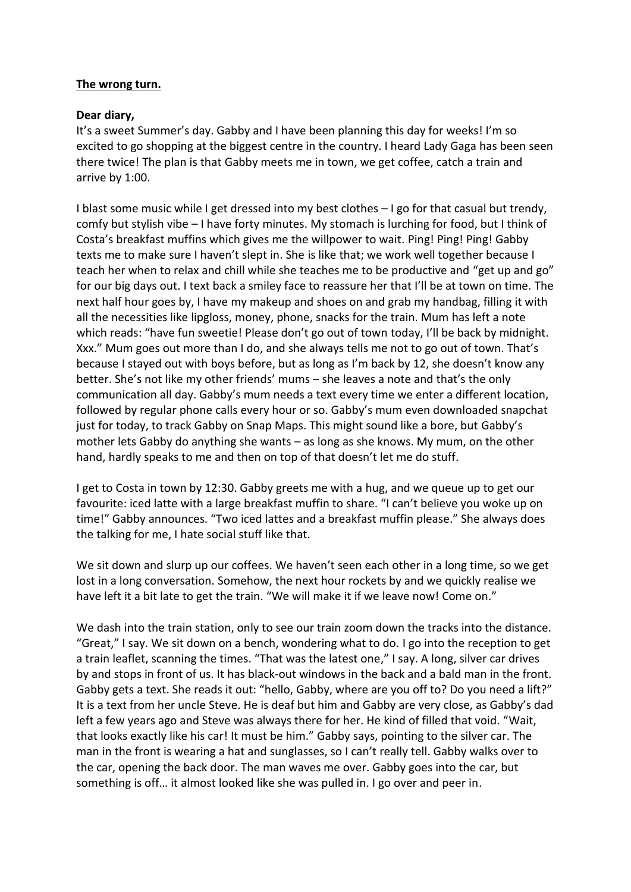## **The wrong turn.**

## **Dear diary,**

It's a sweet Summer's day. Gabby and I have been planning this day for weeks! I'm so excited to go shopping at the biggest centre in the country. I heard Lady Gaga has been seen there twice! The plan is that Gabby meets me in town, we get coffee, catch a train and arrive by 1:00.

I blast some music while I get dressed into my best clothes - I go for that casual but trendy, comfy but stylish vibe – I have forty minutes. My stomach is lurching for food, but I think of Costa's breakfast muffins which gives me the willpower to wait. Ping! Ping! Ping! Gabby texts me to make sure I haven't slept in. She is like that; we work well together because I teach her when to relax and chill while she teaches me to be productive and "get up and go" for our big days out. I text back a smiley face to reassure her that I'll be at town on time. The next half hour goes by, I have my makeup and shoes on and grab my handbag, filling it with all the necessities like lipgloss, money, phone, snacks for the train. Mum has left a note which reads: "have fun sweetie! Please don't go out of town today, I'll be back by midnight. Xxx." Mum goes out more than I do, and she always tells me not to go out of town. That's because I stayed out with boys before, but as long as I'm back by 12, she doesn't know any better. She's not like my other friends' mums – she leaves a note and that's the only communication all day. Gabby's mum needs a text every time we enter a different location, followed by regular phone calls every hour or so. Gabby's mum even downloaded snapchat just for today, to track Gabby on Snap Maps. This might sound like a bore, but Gabby's mother lets Gabby do anything she wants – as long as she knows. My mum, on the other hand, hardly speaks to me and then on top of that doesn't let me do stuff.

I get to Costa in town by 12:30. Gabby greets me with a hug, and we queue up to get our favourite: iced latte with a large breakfast muffin to share. "I can't believe you woke up on time!" Gabby announces. "Two iced lattes and a breakfast muffin please." She always does the talking for me, I hate social stuff like that.

We sit down and slurp up our coffees. We haven't seen each other in a long time, so we get lost in a long conversation. Somehow, the next hour rockets by and we quickly realise we have left it a bit late to get the train. "We will make it if we leave now! Come on."

We dash into the train station, only to see our train zoom down the tracks into the distance. "Great," I say. We sit down on a bench, wondering what to do. I go into the reception to get a train leaflet, scanning the times. "That was the latest one," I say. A long, silver car drives by and stops in front of us. It has black-out windows in the back and a bald man in the front. Gabby gets a text. She reads it out: "hello, Gabby, where are you off to? Do you need a lift?" It is a text from her uncle Steve. He is deaf but him and Gabby are very close, as Gabby's dad left a few years ago and Steve was always there for her. He kind of filled that void. "Wait, that looks exactly like his car! It must be him." Gabby says, pointing to the silver car. The man in the front is wearing a hat and sunglasses, so I can't really tell. Gabby walks over to the car, opening the back door. The man waves me over. Gabby goes into the car, but something is off… it almost looked like she was pulled in. I go over and peer in.